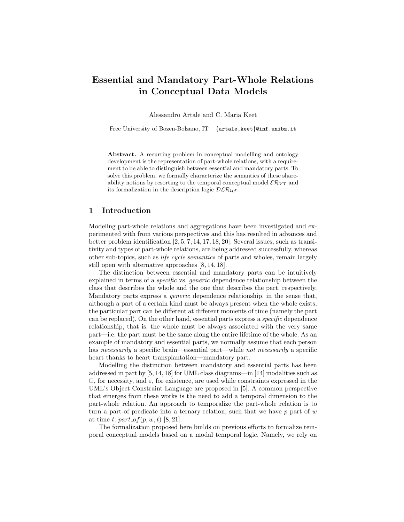# Essential and Mandatory Part-Whole Relations in Conceptual Data Models

Alessandro Artale and C. Maria Keet

Free University of Bozen-Bolzano,  $IT - \{artale, keet\}$ @inf.unibz.it

Abstract. A recurring problem in conceptual modelling and ontology development is the representation of part-whole relations, with a requirement to be able to distinguish between essential and mandatory parts. To solve this problem, we formally characterize the semantics of these shareability notions by resorting to the temporal conceptual model  $\mathcal{ER}_{VT}$  and its formalization in the description logic  $DLR_{US}$ .

## 1 Introduction

Modeling part-whole relations and aggregations have been investigated and experimented with from various perspectives and this has resulted in advances and better problem identification [2, 5, 7, 14, 17, 18, 20]. Several issues, such as transitivity and types of part-whole relations, are being addressed successfully, whereas other sub-topics, such as life cycle semantics of parts and wholes, remain largely still open with alternative approaches [8, 14, 18].

The distinction between essential and mandatory parts can be intuitively explained in terms of a *specific* vs. *generic* dependence relationship between the class that describes the whole and the one that describes the part, respectively. Mandatory parts express a generic dependence relationship, in the sense that, although a part of a certain kind must be always present when the whole exists, the particular part can be different at different moments of time (namely the part can be replaced). On the other hand, essential parts express a specific dependence relationship, that is, the whole must be always associated with the very same part—i.e. the part must be the same along the entire lifetime of the whole. As an example of mandatory and essential parts, we normally assume that each person has necessarily a specific brain—essential part—while not necessarily a specific heart thanks to heart transplantation—mandatory part.

Modelling the distinction between mandatory and essential parts has been addressed in part by [5, 14, 18] for UML class diagrams—in [14] modalities such as  $\Box$ , for necessity, and  $\varepsilon$ , for existence, are used while constraints expressed in the UML's Object Constraint Language are proposed in [5]. A common perspective that emerges from these works is the need to add a temporal dimension to the part-whole relation. An approach to temporalize the part-whole relation is to turn a part-of predicate into a ternary relation, such that we have  $p$  part of  $w$ at time t:  $part\_of(p, w, t)$  [8, 21].

The formalization proposed here builds on previous efforts to formalize temporal conceptual models based on a modal temporal logic. Namely, we rely on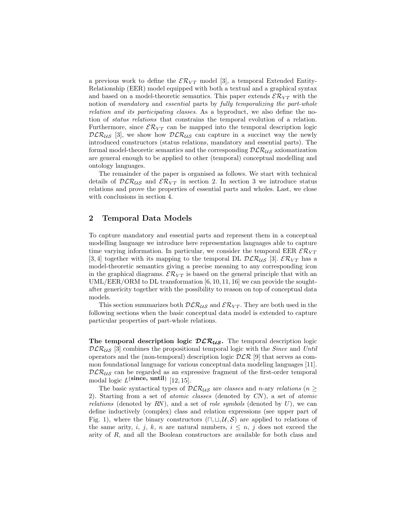a previous work to define the  $\mathcal{ER}_{VT}$  model [3], a temporal Extended Entity-Relationship (EER) model equipped with both a textual and a graphical syntax and based on a model-theoretic semantics. This paper extends  $\mathcal{ER}_{VT}$  with the notion of mandatory and essential parts by fully temporalizing the part-whole relation and its participating classes. As a byproduct, we also define the notion of status relations that constrains the temporal evolution of a relation. Furthermore, since  $\mathcal{ER}_{VT}$  can be mapped into the temporal description logic  $DLR_{US}$  [3], we show how  $DLR_{US}$  can capture in a succinct way the newly introduced constructors (status relations, mandatory and essential parts). The formal model-theoretic semantics and the corresponding  $\mathcal{DLR}_{US}$  axiomatization are general enough to be applied to other (temporal) conceptual modelling and ontology languages.

The remainder of the paper is organised as follows. We start with technical details of  $DLR_{US}$  and  $\mathcal{ER}_{VT}$  in section 2. In section 3 we introduce status relations and prove the properties of essential parts and wholes. Last, we close with conclusions in section 4.

## 2 Temporal Data Models

To capture mandatory and essential parts and represent them in a conceptual modelling language we introduce here representation languages able to capture time varying information. In particular, we consider the temporal EER  $\mathcal{ER}_{VT}$ [3, 4] together with its mapping to the temporal DL  $\mathcal{DLR}_{US}$  [3].  $\mathcal{LR}_{VT}$  has a model-theoretic semantics giving a precise meaning to any corresponding icon in the graphical diagrams.  $\mathcal{E} \mathcal{R}_{VT}$  is based on the general principle that with an UML/EER/ORM to DL transformation [6, 10, 11, 16] we can provide the soughtafter genericity together with the possibility to reason on top of conceptual data models.

This section summarizes both  $DLR_{US}$  and  $\mathcal{ER}_{VT}$ . They are both used in the following sections when the basic conceptual data model is extended to capture particular properties of part-whole relations.

The temporal description logic  $DLR_{US}$ . The temporal description logic  $DLR_{US}$  [3] combines the propositional temporal logic with the *Since* and Until operators and the (non-temporal) description logic  $DLR$  [9] that serves as common foundational language for various conceptual data modeling languages [11].  $DLR_{US}$  can be regarded as an expressive fragment of the first-order temporal modal logic  $L^{\{\text{since, until}\}}$  [12, 15].

The basic syntactical types of  $DLR_{US}$  are classes and n-ary relations (n  $\geq$ 2). Starting from a set of atomic classes (denoted by CN), a set of atomic relations (denoted by RN), and a set of role symbols (denoted by  $U$ ), we can define inductively (complex) class and relation expressions (see upper part of Fig. 1), where the binary constructors  $(\sqcap, \sqcup, \mathcal{U}, \mathcal{S})$  are applied to relations of the same arity, i, j, k, n are natural numbers,  $i \leq n$ , j does not exceed the arity of R, and all the Boolean constructors are available for both class and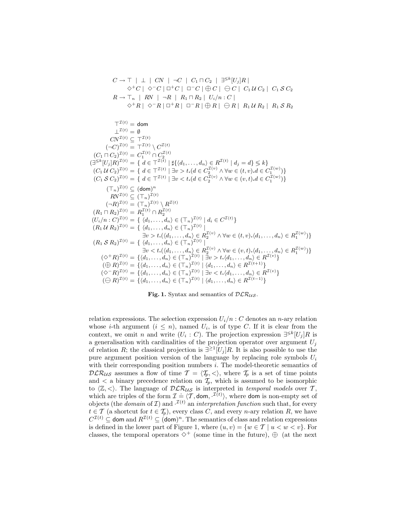$$
C \to T | \perp | CN | \neg C | C_1 \sqcap C_2 | \exists^{\leq k} [U_j]R |
$$
  
\n
$$
\diamond^+ C | \diamond^- C | \Box^+ C | \Box^- C | \oplus C | \ominus C | C_1 U C_2 | C_1 \mathcal{S} C_2
$$
  
\n
$$
R \to T_n | RN | \neg R | R_1 \sqcap R_2 | U_i/n : C |
$$
  
\n
$$
\diamond^+ R | \diamond^- R | \Box^+ R | \Box^- R | \oplus R | \ominus R | R_1 U R_2 | R_1 \mathcal{S} R_2
$$
  
\n
$$
T^{I(t)} = \text{dom}
$$
  
\n
$$
L^{I(t)} = \emptyset
$$
  
\n
$$
CV^{I(t)} \subseteq T^{I(t)}
$$
  
\n
$$
(\bigcap_{i=1}^{T(t)} C_i^{T(t)} \subseteq T^{I(t)})
$$
  
\n
$$
(\bigcap_{i=1}^{T(t)} C_i^{T(t)} \subseteq T^{I(t)})
$$
  
\n
$$
(\bigcap_{i=1}^{T(t)} C_i^{T(t)} \subseteq T^{I(t)})
$$
  
\n
$$
(\bigcap_{i=1}^{T(t)} C_i^{T(t)} \subseteq T^{I(t)})
$$
  
\n
$$
(\bigcap_{i=1}^{T(t)} C_i^{T(t)} \subseteq T^{I(t)})
$$
  
\n
$$
(\bigcap_{i=1}^{T(t)} C_i^{T(t)} \subseteq T^{I(t)})
$$
  
\n
$$
(\bigcap_{i=1}^{T(t)} C_i^{T(t)} \subseteq T^{I(t)})
$$
  
\n
$$
(\bigcap_{i=1}^{T(t)} C_i^{T(t)} \subseteq T^{I(t)})
$$
  
\n
$$
(\bigcap_{i=1}^{T(t)} C_i^{T(t)})
$$
  
\n
$$
(\bigcap_{i=1}^{T(t)} C_i^{T(t)})
$$
  
\n
$$
(\bigcap_{i=1}^{T(t)} C_i^{T(t)})
$$
  
\n
$$
(\bigcap_{i=1}^{T(t)} C_i^{T(t)})
$$
  
\n
$$
(\bigcap_{i=1}^{T(t)} C_i^{T(t)})
$$
  
\n
$$
(\bigcap_{i=1}^{T(t)} C_i^{T(t)})
$$
  
\n

Fig. 1. Syntax and semantics of  $DLR_{US}$ .

relation expressions. The selection expression  $U_i/n$  : C denotes an n-ary relation whose *i*-th argument  $(i \leq n)$ , named  $U_i$ , is of type C. If it is clear from the context, we omit *n* and write  $(U_i : C)$ . The projection expression  $\exists^{\leq k} [U_j]R$  is a generalisation with cardinalities of the projection operator over argument  $U_i$ of relation R; the classical projection is  $\exists^{\geq 1}[U_j]R$ . It is also possible to use the pure argument position version of the language by replacing role symbols  $U_i$ with their corresponding position numbers  $i$ . The model-theoretic semantics of  $DLR_{US}$  assumes a flow of time  $\mathcal{T} = \langle \mathcal{T}_p, \langle \cdot \rangle$ , where  $\mathcal{T}_p$  is a set of time points and  $\lt$  a binary precedence relation on  $\mathcal{I}_p$ , which is assumed to be isomorphic to  $\langle \mathbb{Z}, \langle \rangle$ . The language of  $\mathcal{DLR}_{US}$  is interpreted in temporal models over T, which are triples of the form  $\mathcal{I} = \langle \mathcal{T}, \text{dom}, \mathcal{I}^{(t)} \rangle$ , where dom is non-empty set of objects (the *domain* of  $\mathcal{I}$ ) and  $\mathcal{I}^{(t)}$  an *interpretation function* such that, for every  $t \in \mathcal{T}$  (a shortcut for  $t \in \mathcal{T}_p$ ), every class C, and every n-ary relation R, we have  $C^{T(t)} \subseteq \text{dom} \text{ and } R^{T(t)} \subseteq \text{dom} \text{)}^n$ . The semantics of class and relation expressions is defined in the lower part of Figure 1, where  $(u, v) = \{w \in \mathcal{T} \mid u < w < v\}$ . For classes, the temporal operators  $\diamond^+$  (some time in the future),  $\oplus$  (at the next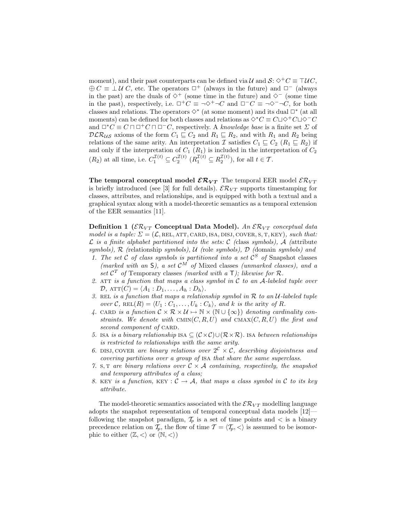moment), and their past counterparts can be defined via  $\mathcal{U}$  and  $\mathcal{S}: \Diamond^+C \equiv \Box \mathcal{U}C$ ,  $\bigoplus C \equiv \perp U C$ , etc. The operators  $\Box^+$  (always in the future) and  $\Box^-$  (always in the past) are the duals of  $\diamond^+$  (some time in the future) and  $\diamond^-$  (some time in the past), respectively, i.e.  $\Box^+C \equiv \neg \Diamond^+ \neg C$  and  $\Box^-C \equiv \neg \Diamond^- \neg C$ , for both classes and relations. The operators  $\diamond^*$  (at some moment) and its dual  $\Box^*$  (at all moments) can be defined for both classes and relations as  $\Diamond^* C \equiv C \Box \Diamond^+ C \Box \Diamond^- C$ and  $\Box^*C \equiv C \sqcap \Box^+C \sqcap \Box^-C$ , respectively. A knowledge base is a finite set  $\Sigma$  of  $DLR_{US}$  axioms of the form  $C_1 \subseteq C_2$  and  $R_1 \subseteq R_2$ , and with  $R_1$  and  $R_2$  being relations of the same arity. An interpretation I satisfies  $C_1 \subseteq C_2$  ( $R_1 \subseteq R_2$ ) if and only if the interpretation of  $C_1$   $(R_1)$  is included in the interpretation of  $C_2$  $(R_2)$  at all time, i.e.  $C_1^{\mathcal{I}(t)} \subseteq C_2^{\mathcal{I}(t)}$   $(R_1^{\mathcal{I}(t)} \subseteq R_2^{\mathcal{I}(t)})$ , for all  $t \in \mathcal{T}$ .

The temporal conceptual model  $\mathcal{ER}_{VT}$  The temporal EER model  $\mathcal{ER}_{VT}$ is briefly introduced (see [3] for full details).  $\mathcal{ER}_{VT}$  supports timestamping for classes, attributes, and relationships, and is equipped with both a textual and a graphical syntax along with a model-theoretic semantics as a temporal extension of the EER semantics [11].

**Definition 1** ( $\mathcal{ER}_{VT}$  Conceptual Data Model). An  $\mathcal{ER}_{VT}$  conceptual data model is a tuple:  $\Sigma = (\mathcal{L}, \text{REL}, \text{ATT}, \text{CARD}, \text{ISSI}, \text{COVER}, S, T, \text{KEY})$ , such that:  $\mathcal L$  is a finite alphabet partitioned into the sets:  $\mathcal C$  (class symbols),  $\mathcal A$  (attribute symbols),  $R$  (relationship symbols),  $U$  (role symbols),  $D$  (domain symbols) and

- 1. The set  $C$  of class symbols is partitioned into a set  $C^S$  of Snapshot classes (marked with an S), a set  $\mathcal{C}^{\tilde{M}}$  of Mixed classes (unmarked classes), and a set  $\mathcal{C}^T$  of Temporary classes (marked with a  $\mathsf{T}$ ); likewise for  $\mathcal{R}$ .
- 2. ATT is a function that maps a class symbol in  $\mathcal C$  to an A-labeled tuple over  $\mathcal{D}, \, \text{ATT}(C) = \langle A_1 : D_1, \ldots, A_h : D_h \rangle.$
- 3. REL is a function that maps a relationship symbol in  $R$  to an  $U$ -labeled tuple over C, REL $(R) = \langle U_1 : C_1, \ldots, U_k : C_k \rangle$ , and k is the arity of R.
- 4. CARD is a function  $C \times \mathcal{R} \times \mathcal{U} \mapsto \mathbb{N} \times (\mathbb{N} \cup {\infty})$  denoting cardinality constraints. We denote with CMIN $(C, R, U)$  and CMAX $(C, R, U)$  the first and second component of CARD.
- 5. ISA is a binary relationship ISA  $\subseteq$   $(C \times C) \cup (\mathcal{R} \times \mathcal{R})$ . ISA between relationships is restricted to relationships with the same arity.
- 6. DISJ, COVER are binary relations over  $2^c \times c$ , describing disjointness and covering partitions over a group of isa that share the same superclass.
- 7. S, T are binary relations over  $C \times A$  containing, respectively, the snapshot and temporary attributes of a class;
- 8. KEY is a function, KEY :  $C \rightarrow A$ , that maps a class symbol in C to its key attribute.

The model-theoretic semantics associated with the  $\mathcal{ER}_{VT}$  modelling language adopts the snapshot representation of temporal conceptual data models [12] following the snapshot paradigm,  $\mathcal{T}_p$  is a set of time points and  $\lt$  is a binary precedence relation on  $\mathcal{T}_p$ , the flow of time  $\mathcal{T} = \langle \mathcal{T}_p, \langle \rangle$  is assumed to be isomorphic to either  $\langle \mathbb{Z}, \langle \rangle$  or  $\langle \mathbb{N}, \langle \rangle$ )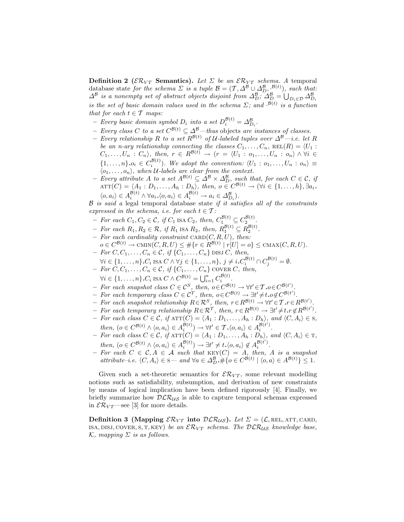**Definition 2** ( $\mathcal{ER}_{VT}$  **Semantics).** Let  $\Sigma$  be an  $\mathcal{ER}_{VT}$  schema. A temporal database state for the schema  $\Sigma$  is a tuple  $\mathcal{B} = (\mathcal{T}, \Delta^{\mathcal{B}} \cup \Delta^{\mathcal{B}}_{D}, \mathcal{B}^{(t)})$ , such that:  $\Delta^{\mathcal{B}}$  is a nonempty set of abstract objects disjoint from  $\Delta_D^{\mathcal{B}}$ ;  $\Delta_D^{\mathcal{B}} = \bigcup_{D_i \in \mathcal{D}} \Delta_{D_i}^{\mathcal{B}}$ is the set of basic domain values used in the schema  $\Sigma$ ; and  $\mathcal{B}(t)$  is a function that for each  $t \in \mathcal{T}$  maps:

- Every basic domain symbol  $D_i$  into a set  $D_i^{\mathcal{B}(t)} = \Delta_{D_i}^{\mathcal{B}}$ .
- − Every class C to a set  $C^{B(t)} \subseteq \Delta^B$ —thus objects are instances of classes.
- Every relationship R to a set  $R^{\mathcal{B}(t)}$  of U-labeled tuples over  $\Delta^{\mathcal{B}}$ —i.e. let R be an n-ary relationship connecting the classes  $C_1, \ldots, C_n$ , REL $(R) = \langle U_1 :$  $C_1, \ldots, U_n : C_n$ , then,  $r \in R^{\mathcal{B}(t)} \rightarrow (r = \langle U_1 : o_1, \ldots, U_n : o_n \rangle \wedge \forall i \in$  $\{1,\ldots,n\}.o_i \in C_i^{\mathcal{B}(t)}$ . We adopt the convention:  $\langle U_1: o_1,\ldots,U_n: o_n \rangle \equiv$  $\langle o_1, \ldots, o_n \rangle$ , when U-labels are clear from the context.
- $-$  Every attribute A to a set  $A^{\mathcal{B}(t)} \subseteq \Delta^{\mathcal{B}} \times \Delta^{\mathcal{B}}_D$ , such that, for each  $C \in \mathcal{C}$ , if  $\text{ATT}(C) = \langle A_1 : D_1, \ldots, A_h : D_h \rangle$ , then,  $o \in C^{\mathcal{B}(t)} \to (\forall i \in \{1, \ldots, h\}, \exists a_i$ .  $\langle o, a_i \rangle \in A_i^{\mathcal{B}(t)} \wedge \forall a_i. \langle o, a_i \rangle \in A_i^{\mathcal{B}(t)} \rightarrow a_i \in \Delta_{D_i}^{\mathcal{B}}$ .

 $B$  is said a legal temporal database state if it satisfies all of the constraints expressed in the schema, i.e. for each  $t \in \mathcal{T}$ :

- For each  $C_1, C_2 \in \mathcal{C}$ , if  $C_1$  is a  $C_2$ , then,  $C_1^{\mathcal{B}(t)} \subseteq C_2^{\mathcal{B}(t)}$ .
- For each  $R_1, R_2 \in \mathcal{R}$ , if  $R_1$  ISA  $R_2$ , then,  $R_1^{\mathcal{B}(t)} \subseteq R_2^{\mathcal{B}(t)}$ .
- For each cardinality constraint  $CARD(C, R, U)$ , then:
- $o \in C^{\mathcal{B}(t)} \to \text{CMIN}(C, R, U) \leq \#\{r \in R^{\mathcal{B}(t)} \mid r[U] = o\} \leq \text{CMAX}(C, R, U).$  $-$  For  $C, C_1, \ldots, C_n \in \mathcal{C}, \text{ if } \{C_1, \ldots, C_n\} \text{ DISJ } C, \text{ then},$
- $\forall i \in \{1, \ldots, n\} \cdot C_i$  isa  $C \wedge \forall j \in \{1, \ldots, n\}, \ j \neq i \cdot C_i^{\mathcal{B}(t)} \cap C_j^{\mathcal{B}(t)} = \emptyset.$
- $-$  For  $C, C_1, \ldots, C_n \in \mathcal{C}, \text{ if } \{C_1, \ldots, C_n\} \text{ covers } C, \text{ then,}$
- $\forall i \in \{1,\ldots,n\} \cdot C_i$  ISA  $C \wedge C^{\mathcal{B}(t)} = \bigcup_{i=1}^n C_i^{\mathcal{B}(t)}$ .
- For each snapshot class  $C \in \mathcal{C}^S$ , then,  $o \in C^{\mathcal{B}(t)} \to \forall t' \in \mathcal{T} . o \in C^{\mathcal{B}(t')}$ .
- *− For each temporary class*  $C \in \mathcal{C}^T$ , then,  $o \in C^{\mathcal{B}(t)} \to \exists t' \neq t.o \notin C^{\mathcal{B}(t')}$ .
- $\vdash$  For each snapshot relationship  $R \in \mathcal{R}^S$ , then,  $r \in R^{\mathcal{B}(t)} \rightarrow \forall t' \in \mathcal{T} . r \in R^{\mathcal{B}(t')}$ .
- $\overline{F}$  For each temporary relationship  $R \in \mathcal{R}^T$ , then,  $r \in R^{\mathcal{B}(t)} \rightarrow \exists t' \neq t$ ,  $r \notin R^{\mathcal{B}(t')}$ .
- $-$  For each class  $C \in \mathcal{C}$ , if  $\text{ATT}(\overline{C}) = \langle A_1 : D_1, \ldots, A_h : D_h \rangle$ , and  $\langle C, A_i \rangle \in \mathcal{S}$ , then,  $(o \in C^{\mathcal{B}(t)} \land \langle o, a_i \rangle \in A_i^{\mathcal{B}(t)}) \rightarrow \forall t' \in \mathcal{T}. \langle o, a_i \rangle \in A_i^{\mathcal{B}(t')}$ .
- $-$  For each class  $C \in \mathcal{C}$ , if  $\text{ATT}(C) = \langle A_1 : D_1, \ldots, A_h : D_h \rangle$ , and  $\langle C, A_i \rangle \in \text{T}$ , then,  $(o \in C^{\mathcal{B}(t)} \land \langle o, a_i \rangle \in A_i^{\mathcal{B}(t)}) \rightarrow \exists t' \neq t \ldotp \langle o, a_i \rangle \notin A_i^{\mathcal{B}(t')}$ .
- For each  $C \in \mathcal{C}, A \in \mathcal{A}$  such that  $KEY(C) = A$ , then, A is a snapshot  $attribute-i.e. \langle C, A_i \rangle \in \mathbf{S}$  — and  $\forall a \in \Delta_D^{\mathcal{B}}$ ,  $\# \{o \in C^{\mathcal{B}(t)} \mid \langle o, a \rangle \in A^{\mathcal{B}(t)} \}$  ≤ 1.

Given such a set-theoretic semantics for  $\mathcal{ER}_{VT}$ , some relevant modelling notions such as satisfiability, subsumption, and derivation of new constraints by means of logical implication have been defined rigorously [4]. Finally, we briefly summarize how  $DLR_{US}$  is able to capture temporal schemas expressed in  $\mathcal{ER}_{VT}$ —see [3] for more details.

**Definition 3 (Mapping**  $\mathcal{ER}_{VT}$  **into**  $\mathcal{DLR}_{US}$ **).** Let  $\Sigma = (\mathcal{L}, \text{REL}, \text{ATT}, \text{CARD},$ ISA, DISJ, COVER, S, T, KEY) be an  $\mathcal{ER}_{VT}$  schema. The  $\mathcal{DLR}_{US}$  knowledge base,  $\mathcal{K}$ , mapping  $\Sigma$  is as follows.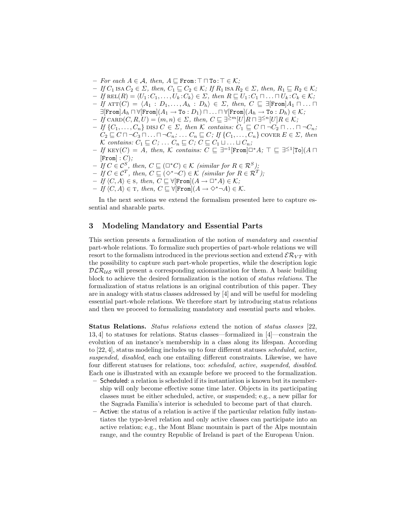- *For each*  $A \in \mathcal{A}$ , then,  $A \sqsubseteq$  From:  $\top \sqcap$  To:  $\top \in \mathcal{K}$ ;
- $-If C_1$  ISA  $C_2 \in \Sigma$ , then,  $C_1 \sqsubseteq C_2 \in \mathcal{K}$ ; If  $R_1$  ISA  $R_2 \in \Sigma$ , then,  $R_1 \sqsubseteq R_2 \in \mathcal{K}$ ;
- $-If \text{ REL}(R) = \langle U_1 : C_1, \ldots, U_k : C_k \rangle \in \Sigma$ , then  $R \sqsubseteq U_1 : C_1 \sqcap \ldots \sqcap U_k : C_k \in \mathcal{K};$
- $-$  If ATT(C) =  $\langle A_1 : D_1, \ldots, A_h : D_h \rangle \in \Sigma$ , then,  $C \subseteq \exists [\texttt{From}] A_1 \sqcap \ldots \sqcap$  $\exists$ [From] $A_h \sqcap \forall$ [From] $(A_1 \rightarrow \texttt{To} : D_1) \sqcap \ldots \sqcap \forall$ [From] $(A_h \rightarrow \texttt{To} : D_h) \in \mathcal{K}$ ;
- $-If$  CARD $(C, R, U) = (m, n) \in \Sigma$ , then,  $C \sqsubseteq \exists^{\ge m}[U]R \sqcap \exists^{\le n}[U]R \in \mathcal{K}$ ;  $-If\{C_1,\ldots,C_n\}$  DISJ  $C \in \Sigma$ , then K contains:  $C_1 \sqsubseteq C \sqcap \neg C_2 \sqcap \ldots \sqcap \neg C_n;$
- $C_2 \sqsubseteq C \sqcap \neg C_3 \sqcap \ldots \sqcap \neg C_n; \ldots C_n \sqsubseteq C;$  If  $\{C_1, \ldots, C_n\}$  cover  $E \in \Sigma$ , then K contains:  $C_1 \sqsubseteq C; \ldots C_n \sqsubseteq C; C \sqsubseteq C_1 \sqcup \ldots \sqcup C_n;$
- $-$  If KEY(C) = A, then, K contains:  $C \subseteq \exists^{-1}[\texttt{From}] \Box^* A$ ;  $\top \subseteq \exists^{\leq 1}[\texttt{To}](A \sqcap$  $[From]: C;$
- $-If C \in \mathcal{C}^S$ , then,  $C \sqsubseteq (\square^* C) \in \mathcal{K}$  (similar for  $R \in \mathcal{R}^S$ );
- $-If C \in \mathcal{C}^{T}$ , then,  $C \sqsubseteq (\Diamond^* \neg C) \in \mathcal{K}$  (similar for  $R \in \mathcal{R}^{T}$ );
- $-If \langle C, A \rangle \in \mathcal{S}$ , then,  $C \sqsubseteq \forall [\texttt{From}](A \rightarrow \Box^* A) \in \mathcal{K};$
- $-If(C, A) \in T$ , then,  $C \sqsubseteq \forall$ [From] $(A \rightarrow \Diamond^* \neg A) \in \mathcal{K}$ .

In the next sections we extend the formalism presented here to capture essential and sharable parts.

#### 3 Modeling Mandatory and Essential Parts

This section presents a formalization of the notion of mandatory and essential part-whole relations. To formalize such properties of part-whole relations we will resort to the formalism introduced in the previous section and extend  $\mathcal{ER}_{VT}$  with the possibility to capture such part-whole properties, while the description logic  $DLR_{US}$  will present a corresponding axiomatization for them. A basic building block to achieve the desired formalization is the notion of status relations. The formalization of status relations is an original contribution of this paper. They are in analogy with status classes addressed by [4] and will be useful for modeling essential part-whole relations. We therefore start by introducing status relations and then we proceed to formalizing mandatory and essential parts and wholes.

Status Relations. Status relations extend the notion of status classes [22, 13, 4] to statuses for relations. Status classes—formalized in [4]—constrain the evolution of an instance's membership in a class along its lifespan. According to [22, 4], status modeling includes up to four different statuses scheduled, active, suspended, disabled, each one entailing different constraints. Likewise, we have four different statuses for relations, too: scheduled, active, suspended, disabled. Each one is illustrated with an example before we proceed to the formalization.

- Scheduled: a relation is scheduled if its instantiation is known but its membership will only become effective some time later. Objects in its participating classes must be either scheduled, active, or suspended; e.g., a new pillar for the Sagrada Familia's interior is scheduled to become part of that church.
- Active: the status of a relation is active if the particular relation fully instantiates the type-level relation and only active classes can participate into an active relation; e.g., the Mont Blanc mountain is part of the Alps mountain range, and the country Republic of Ireland is part of the European Union.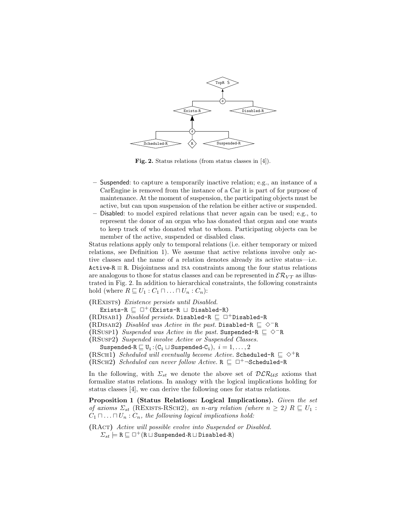

Fig. 2. Status relations (from status classes in [4]).

- Suspended: to capture a temporarily inactive relation; e.g., an instance of a CarEngine is removed from the instance of a Car it is part of for purpose of maintenance. At the moment of suspension, the participating objects must be active, but can upon suspension of the relation be either active or suspended.
- Disabled: to model expired relations that never again can be used; e.g., to represent the donor of an organ who has donated that organ and one wants to keep track of who donated what to whom. Participating objects can be member of the active, suspended or disabled class.

Status relations apply only to temporal relations (i.e. either temporary or mixed relations, see Definition 1). We assume that active relations involve only active classes and the name of a relation denotes already its active status—i.e. Active-R  $\equiv$  R. Disjointness and ISA constraints among the four status relations are analogous to those for status classes and can be represented in  $\mathcal{ER}_{VT}$  as illustrated in Fig. 2. In addition to hierarchical constraints, the following constraints hold (where  $R \sqsubseteq U_1 : C_1 \sqcap \ldots \sqcap U_n : C_n$ ):

#### (RExists) Existence persists until Disabled.

- Exists-R  $\sqsubseteq \Box^+($  Exists-R  $\sqcup$  Disabled-R)
- (RDISAB1) Disabled persists. Disabled-R  $\sqsubseteq \Box^+$ Disabled-R

(RDISAB2) Disabled was Active in the past. Disabled-R  $\subseteq$   $\Diamond$ <sup>−</sup>R

(RSUSP1) Suspended was Active in the past. Suspended-R  $\Box \Diamond$ <sup>-</sup>R

(RSusp2) Suspended involve Active or Suspended Classes.

Suspended-R  $\sqsubseteq U_i$ :  $(C_i \sqcup$  Suspended- $C_i$ ),  $i = 1, ..., 2$ 

- (RSCH1) Scheduled will eventually become Active. Scheduled-R  $\subseteq \Diamond^+$ R
- (RSCH2) Scheduled can never follow Active.  $R \sqsubseteq \Box^+$  $\neg$ Scheduled-R

In the following, with  $\Sigma_{st}$  we denote the above set of  $\mathcal{DLR}_{US}$  axioms that formalize status relations. In analogy with the logical implications holding for status classes [4], we can derive the following ones for status relations.

Proposition 1 (Status Relations: Logical Implications). Given the set of axioms  $\Sigma_{st}$  (REXISTS-RSCH2), an n-ary relation (where  $n \geq 2$ )  $R \sqsubseteq U_1$ :  $C_1 \sqcap \ldots \sqcap U_n : C_n$ , the following logical implications hold:

(RAct) Active will possible evolve into Suspended or Disabled.  $\Sigma_{st} \models \texttt{R} \sqsubseteq \Box^+(\texttt{R} \sqcup \texttt{Suspended-R} \sqcup \texttt{Disabled-R})$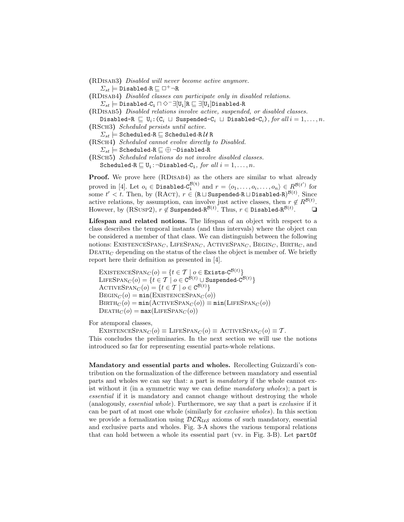(RDisab3) Disabled will never become active anymore.  $\Sigma_{st} \models$  Disabled-R  $\sqsubseteq \Box^+ \neg R$ 

(RDISAB4) Disabled classes can participate only in disabled relations.  $\Sigma_{st} \models$  Disabled-C<sub>i</sub>  $\Box \Diamond^{-} \exists [U_i]R \sqsubseteq \exists [U_i]D$ isabled-R

(RDisab5) Disabled relations involve active, suspended, or disabled classes.

Disabled-R  $\sqsubseteq U_i: (C_i \sqcup \text{Suspended}-C_i \sqcup \text{Disabled}-C_i)$ , for all  $i = 1, ..., n$ . (RSch3) Scheduled persists until active.

 $\Sigma_{st} \models$  Scheduled-R  $\sqsubseteq$  Scheduled-R  $\mathcal U$  R

(RSch4) Scheduled cannot evolve directly to Disabled.  $\Sigma_{st} \models$  Scheduled-R  $\sqsubseteq \oplus$  ¬Disabled-R

(RSch5) Scheduled relations do not involve disabled classes. Scheduled-R  $\sqsubseteq U_i$ : $\neg$ Disabled-C<sub>i</sub>, for all  $i = 1, ..., n$ .

Proof. We prove here (RDISAB4) as the others are similar to what already proved in [4]. Let  $o_i \in \text{Disabled-}C_1^{\mathcal{B}(t)}$  and  $r = \langle o_1, \ldots, o_i, \ldots, o_n \rangle \in R^{\mathcal{B}(t')}$  for some  $t' < t$ . Then, by (RACT),  $r \in (R \sqcup \texttt{Suspended-R} \sqcup \texttt{Disabled-R})^{\mathcal{B}(t)}$ . Since active relations, by assumption, can involve just active classes, then  $r \notin R^{\mathcal{B}(t)}$ . However, by  $(RSUSP2)$ ,  $r \notin S$ uspended- $R^{\mathcal{B}(t)}$ . Thus,  $r \in \texttt{Disabled-}R^{\mathcal{B}(t)}$  $\Box$ 

Lifespan and related notions. The lifespan of an object with respect to a class describes the temporal instants (and thus intervals) where the object can be considered a member of that class. We can distinguish between the following notions: EXISTENCESPAN<sub>C</sub>, LIFESPAN<sub>C</sub>, ACTIVESPAN<sub>C</sub>, BEGIN<sub>C</sub>, BIRTH<sub>C</sub>, and  $DEATH<sub>C</sub>$  depending on the status of the class the object is member of. We briefly report here their definition as presented in [4].

 $\textsc{ExistenceSpan}_{C}(o) = \{t \in \mathcal{T} \mid o \in \textsc{Exists-C}^{\mathcal{B}(t)}\}$  $\text{LIESPAN}_C(o) = \{t \in \mathcal{T} \mid o \in \text{C}^{\dot{\mathcal{B}}(t)} \cup \text{Suspended-C}^{\mathcal{B}(t)}\}$ ACTIVESPAN $_C(o) = \{t \in \mathcal{T} \mid o \in \mathcal{C}^{\mathcal{B}(t)}\}$  $\text{BEGIN}_C (o) = \min(\text{EXISTENCESPAN}_C (o))$  $BIRTH_C (o) = min(ACTIVESPAN_C (o)) \equiv min(LIFESPAN_C (o))$  $\text{DEATH}_C (o) = \max(\text{LIFESPAN}_C (o))$ 

For atemporal classes,

EXISTENCESPAN $_C(o) \equiv$  LIFESPAN $_C(o) \equiv$  ACTIVESPAN $_C(o) \equiv \mathcal{T}$ . This concludes the preliminaries. In the next section we will use the notions introduced so far for representing essential parts-whole relations.

Mandatory and essential parts and wholes. Recollecting Guizzardi's contribution on the formalization of the difference between mandatory and essential parts and wholes we can say that: a part is mandatory if the whole cannot exist without it (in a symmetric way we can define mandatory wholes); a part is essential if it is mandatory and cannot change without destroying the whole (analogously, essential whole). Furthermore, we say that a part is exclusive if it can be part of at most one whole (similarly for exclusive wholes). In this section we provide a formalization using  $DLR_{US}$  axioms of such mandatory, essential and exclusive parts and wholes. Fig. 3-A shows the various temporal relations that can hold between a whole its essential part (vv. in Fig. 3-B). Let partOf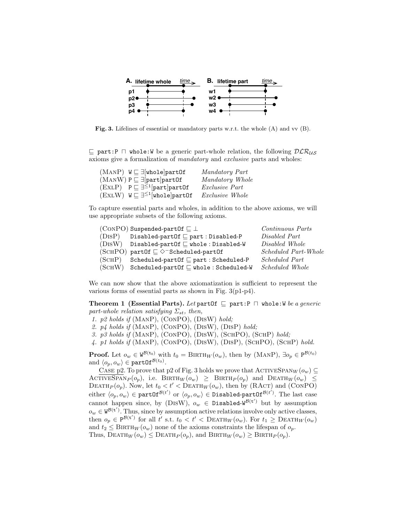

Fig. 3. Lifelines of essential or mandatory parts w.r.t. the whole (A) and vv (B).

 $\subseteq$  part:P  $\Box$  whole:W be a generic part-whole relation, the following  $DLR_{US}$ axioms give a formalization of mandatory and exclusive parts and wholes:

| $(MANP)$ $W \sqsubseteq \exists$ whole part Of          | Mandatory Part        |
|---------------------------------------------------------|-----------------------|
| $(MANW)$ $P \sqsubseteq \exists [part]$ part $0f$       | Mandatory Whole       |
| $(EXLP)$ $P \sqsubseteq \exists^{\leq 1}$ [part]part0f  | <i>Exclusive Part</i> |
| $(ExLW)$ $W \sqsubseteq \exists^{\leq 1}$ [whole]partOf | Exclusive Whole       |

To capture essential parts and wholes, in addition to the above axioms, we will use appropriate subsets of the following axioms.

|        | $(CONPO)$ Suspended-part Of $\sqsubseteq \bot$             | Continuous Parts            |
|--------|------------------------------------------------------------|-----------------------------|
| (DISP) | Disabled-partOf $\sqsubseteq$ part : Disabled-P            | Disabled Part               |
|        | $(DISW)$ Disabled-partOf $\sqsubseteq$ whole: Disabled-W   | Disabled Whole              |
|        | (SCHPO) partOf $\subseteq \Diamond^{-}$ Scheduled-partOf   | <i>Scheduled Part-Whole</i> |
| (SCHP) | Scheduled-part Of $\sqsubseteq$ part : Scheduled-P         | <i>Scheduled Part</i>       |
|        | $(SCHW)$ Scheduled-partOf $\sqsubseteq$ whole: Scheduled-W | <i>Scheduled Whole</i>      |

We can now show that the above axiomatization is sufficient to represent the various forms of essential parts as shown in Fig. 3(p1-p4).

**Theorem 1 (Essential Parts).** Let part Of  $\subseteq$  part:P  $\cap$  whole:W be a generic part-whole relation satisfying  $\Sigma_{st}$ , then,

- 1. p2 holds if (ManP), (ConPO), (DisW) hold;
- 2.  $p_4$  holds if (MANP), (CONPO), (DISW), (DISP) hold;
- 3. p3 holds if (ManP), (ConPO), (DisW), (SchPO), (SchP) hold;
- 4. p1 holds if (ManP), (ConPO), (DisW), (DisP), (SchPO), (SchP) hold.

**Proof.** Let  $o_w \in W^{\mathcal{B}(\mathbf{t}_0)}$  with  $t_0 = \text{BIRTH}_W(o_w)$ , then by (MANP),  $\exists o_p \in P^{\mathcal{B}(t_0)}$ and  $\langle o_p, o_w \rangle \in \texttt{partOf}^{\mathcal{B}(t_0)}$ .

CASE p2. To prove that p2 of Fig. 3 holds we prove that  $\text{ACTIVESPAN}_W(o_w) \subseteq$ ACTIVESPAN<sub>P</sub> $(o_p)$ , i.e. BIRTH<sub>W</sub> $(o_w) \geq$  BIRTH<sub>P</sub> $(o_p)$  and DEATH<sub>W</sub> $(o_w)$ DEATH<sub>P</sub> $(o_p)$ . Now, let  $t_0 < t' <$ DEATH<sub>W</sub> $(o_w)$ , then by (RACT) and (CONPO) either  $\langle o_p, o_w \rangle \in \texttt{partOf}^{\mathcal{B}(t')}$  or  $\langle o_p, o_w \rangle \in \texttt{Disabled-partOf}^{\mathcal{B}(t')}$ . The last case cannot happen since, by (DISW),  $o_w \in \text{Disabled-W}^{\mathcal{B}(\mathbf{t}')}$  but by assumption  $o_w \in W^{\mathcal{B}(\mathbf{t}')}$ . Thus, since by assumption active relations involve only active classes, then  $o_p \in P^{\mathcal{B}(t')}$  for all t' s.t.  $t_0 < t' <$  DEATH<sub>W</sub> $(o_w)$ . For  $t_1 \geq$  DEATH<sub>W</sub> $(o_w)$ and  $t_2 \leq \text{BIRTH}_W(o_w)$  none of the axioms constraints the lifespan of  $o_p$ . Thus,  $\text{DEATH}_W(o_w) \leq \text{DEATH}_P(o_p)$ , and  $\text{BIRTH}_W(o_w) \geq \text{BIRTH}_P(o_p)$ .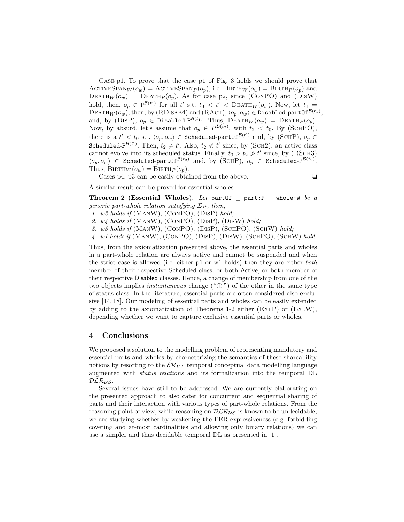Case p1. To prove that the case p1 of Fig. 3 holds we should prove that ACTIVESPAN $_W(o_w) =$  ACTIVESPAN $_P(o_p)$ , i.e. BIRTH $_W(o_w) =$  BIRTH $_P(o_p)$  and DEATH $_W(o_w)$  = DEATH $_P(o_p)$ . As for case p2, since (CONPO) and (DISW) hold, then,  $o_p \in P^{\mathcal{B}(t')}$  for all t' s.t.  $t_0 < t' < D$ EATH $_W(o_w)$ . Now, let  $t_1 =$  $\text{DEATH}_W(o_w)$ , then, by (RDISAB4) and (RACT),  $\langle o_p, o_w\rangle \in \text{Disabled-partOf}^{\mathcal{B}(t_1)},$ and, by (DISP),  $o_p \in \text{Disabled-P}^{\mathcal{B}(t_1)}$ . Thus,  $\text{DEATH}_W(o_w) = \text{DEATH}_P(o_p)$ . Now, by absurd, let's assume that  $o_p \in P^{\mathcal{B}(t_2)}$ , with  $t_2 < t_0$ . By (SCHPO), there is a  $t' < t_0$  s.t.  $\langle o_p, o_w \rangle \in$  Scheduled-partOf<sup> $\mathcal{B}(t')$ </sup> and, by (SCHP),  $o_p \in$ Scheduled-P<sup> $\mathcal{B}(t')$ </sup>. Then,  $t_2 \neq t'$ . Also,  $t_2 \not< t'$  since, by (SCH2), an active class cannot evolve into its scheduled status. Finally,  $t_0 > t_2 \ngeq t'$  since, by (RSCH3)  $\langle o_p, o_w \rangle \in$  Scheduled-partOf<sup>B(t2)</sup> and, by (SCHP),  $o_p \in$  Scheduled-P<sup>B(t2)</sup>. Thus,  $BIRTH_W(o_w) = BIRTH_P(o_p)$ .

Cases p4, p3 can be easily obtained from the above.  $\Box$ 

A similar result can be proved for essential wholes.

Theorem 2 (Essential Wholes). Let partOf  $\subseteq$  part:P  $\sqcap$  whole:W be a generic part-whole relation satisfying  $\Sigma_{st}$ , then,

- 1. w2 holds if (ManW), (ConPO), (DisP) hold;
- 2. w4 holds if (ManW), (ConPO), (DisP), (DisW) hold;
- 3. w3 holds if (ManW), (ConPO), (DisP), (SchPO), (SchW) hold;
- 4. w1 holds if (ManW), (ConPO), (DisP), (DisW), (SchPO), (SchW) hold.

Thus, from the axiomatization presented above, the essential parts and wholes in a part-whole relation are always active and cannot be suspended and when the strict case is allowed (i.e. either p1 or w1 holds) then they are either both member of their respective Scheduled class, or both Active, or both member of their respective Disabled classes. Hence, a change of membership from one of the two objects implies *instantaneous* change  $(\mathscr{L})$  of the other in the same type of status class. In the literature, essential parts are often considered also exclusive [14, 18]. Our modeling of essential parts and wholes can be easily extended by adding to the axiomatization of Theorems 1-2 either (EXLP) or (EXLW), depending whether we want to capture exclusive essential parts or wholes.

#### 4 Conclusions

We proposed a solution to the modelling problem of representing mandatory and essential parts and wholes by characterizing the semantics of these shareability notions by resorting to the  $\mathcal{ER}_{VT}$  temporal conceptual data modelling language augmented with status relations and its formalization into the temporal DL  $DLR_{US}$ .

Several issues have still to be addressed. We are currently elaborating on the presented approach to also cater for concurrent and sequential sharing of parts and their interaction with various types of part-whole relations. From the reasoning point of view, while reasoning on  $\mathcal{DLR}_{\mathcal{US}}$  is known to be undecidable, we are studying whether by weakening the EER expressiveness (e.g. forbidding covering and at-most cardinalities and allowing only binary relations) we can use a simpler and thus decidable temporal DL as presented in [1].